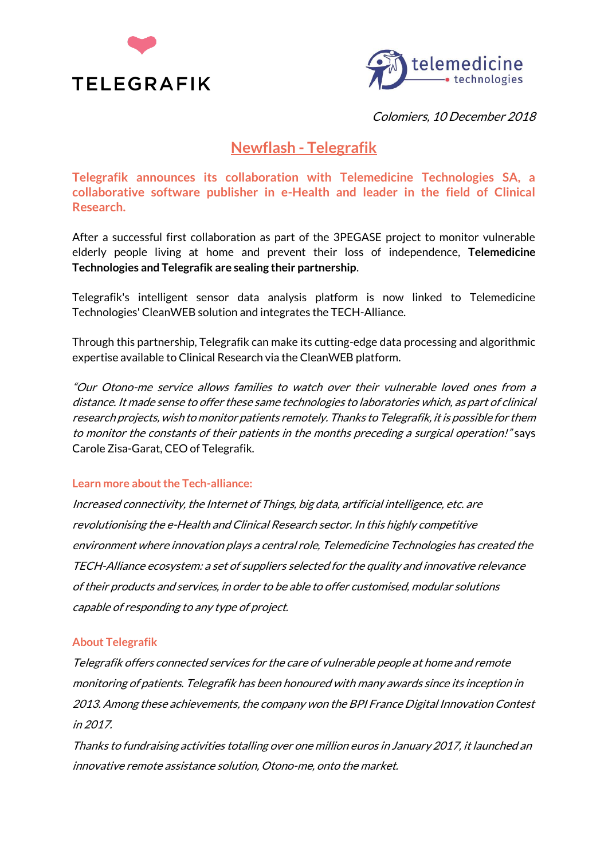



Colomiers, 10 December 2018

## **Newflash - Telegrafik**

**Telegrafik announces its collaboration with Telemedicine Technologies SA, a collaborative software publisher in e-Health and leader in the field of Clinical Research.**

After a successful first collaboration as part of the 3PEGASE project to monitor vulnerable elderly people living at home and prevent their loss of independence, **Telemedicine Technologies and Telegrafik are sealing their partnership**.

Telegrafik's intelligent sensor data analysis platform is now linked to Telemedicine Technologies' CleanWEB solution and integrates the TECH-Alliance.

Through this partnership, Telegrafik can make its cutting-edge data processing and algorithmic expertise available to Clinical Research via the CleanWEB platform.

"Our Otono-me service allows families to watch over their vulnerable loved ones from <sup>a</sup> distance. It made sense to offer these same technologies to laboratories which, as part of clinical research projects, wish to monitor patients remotely. Thanks to Telegrafik, it is possible for them to monitor the constants of their patients in the months preceding <sup>a</sup> surgical operation!" says Carole Zisa-Garat, CEO of Telegrafik.

## **Learn more about the Tech-alliance:**

Increased connectivity, the Internet of Things, big data, artificial intelligence, etc. are revolutionising the e-Health and Clinical Research sector. In this highly competitive environment where innovation plays a central role, Telemedicine Technologies has created the TECH-Alliance ecosystem: a set of suppliers selected for the quality and innovative relevance of their products and services, in order to be able to offer customised, modular solutions capable of responding to any type of project.

## **About Telegrafik**

Telegrafik offers connected services for the care of vulnerable people at home and remote monitoring of patients. Telegrafik has been honoured with many awards since its inception in 2013. Among these achievements, the company won the BPI France Digital Innovation Contest in 2017.

Thanks to fundraising activities totalling over one million euros in January 2017, it launched an innovative remote assistance solution, Otono-me, onto the market.